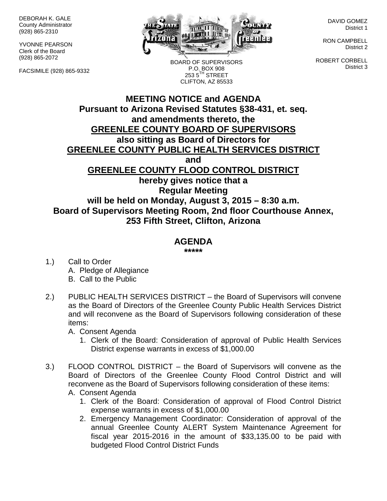DEBORAH K. GALE County Administrator (928) 865-2310

YVONNE PEARSON Clerk of the Board (928) 865-2072

FACSIMILE (928) 865-9332



BOARD OF SUPERVISORS P.O. BOX 908  $2535^{\text{TH}}$  STREET CLIFTON, AZ 85533

DAVID GOMEZ District 1

RON CAMPBELL District 2

ROBERT CORBELL District 3

## **MEETING NOTICE and AGENDA Pursuant to Arizona Revised Statutes §38-431, et. seq. and amendments thereto, the GREENLEE COUNTY BOARD OF SUPERVISORS also sitting as Board of Directors for GREENLEE COUNTY PUBLIC HEALTH SERVICES DISTRICT and GREENLEE COUNTY FLOOD CONTROL DISTRICT hereby gives notice that a Regular Meeting will be held on Monday, August 3, 2015 – 8:30 a.m. Board of Supervisors Meeting Room, 2nd floor Courthouse Annex, 253 Fifth Street, Clifton, Arizona**

## **AGENDA**

**\*\*\*\*\***

- 1.) Call to Order A. Pledge of Allegiance B. Call to the Public
- 2.) PUBLIC HEALTH SERVICES DISTRICT the Board of Supervisors will convene as the Board of Directors of the Greenlee County Public Health Services District and will reconvene as the Board of Supervisors following consideration of these items:

A. Consent Agenda

- 1. Clerk of the Board: Consideration of approval of Public Health Services District expense warrants in excess of \$1,000.00
- 3.) FLOOD CONTROL DISTRICT the Board of Supervisors will convene as the Board of Directors of the Greenlee County Flood Control District and will reconvene as the Board of Supervisors following consideration of these items:
	- A. Consent Agenda
		- 1. Clerk of the Board: Consideration of approval of Flood Control District expense warrants in excess of \$1,000.00
		- 2. Emergency Management Coordinator: Consideration of approval of the annual Greenlee County ALERT System Maintenance Agreement for fiscal year 2015-2016 in the amount of \$33,135.00 to be paid with budgeted Flood Control District Funds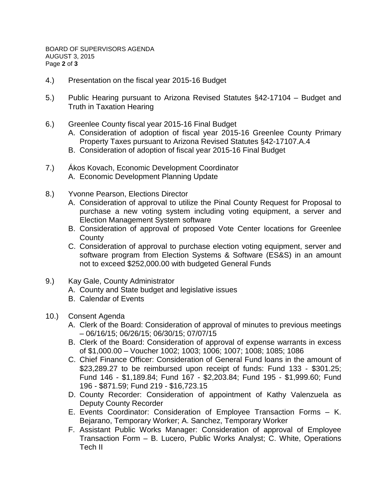- 4.) Presentation on the fiscal year 2015-16 Budget
- 5.) Public Hearing pursuant to Arizona Revised Statutes §42-17104 Budget and Truth in Taxation Hearing
- 6.) Greenlee County fiscal year 2015-16 Final Budget
	- A. Consideration of adoption of fiscal year 2015-16 Greenlee County Primary Property Taxes pursuant to Arizona Revised Statutes §42-17107.A.4
	- B. Consideration of adoption of fiscal year 2015-16 Final Budget
- 7.) Ákos Kovach, Economic Development Coordinator A. Economic Development Planning Update
- 8.) Yvonne Pearson, Elections Director
	- A. Consideration of approval to utilize the Pinal County Request for Proposal to purchase a new voting system including voting equipment, a server and Election Management System software
	- B. Consideration of approval of proposed Vote Center locations for Greenlee **County**
	- C. Consideration of approval to purchase election voting equipment, server and software program from Election Systems & Software (ES&S) in an amount not to exceed \$252,000.00 with budgeted General Funds
- 9.) Kay Gale, County Administrator
	- A. County and State budget and legislative issues
	- B. Calendar of Events
- 10.) Consent Agenda
	- A. Clerk of the Board: Consideration of approval of minutes to previous meetings – 06/16/15; 06/26/15; 06/30/15; 07/07/15
	- B. Clerk of the Board: Consideration of approval of expense warrants in excess of \$1,000.00 – Voucher 1002; 1003; 1006; 1007; 1008; 1085; 1086
	- C. Chief Finance Officer: Consideration of General Fund loans in the amount of \$23,289.27 to be reimbursed upon receipt of funds: Fund 133 - \$301.25; Fund 146 - \$1,189.84; Fund 167 - \$2,203.84; Fund 195 - \$1,999.60; Fund 196 - \$871.59; Fund 219 - \$16,723.15
	- D. County Recorder: Consideration of appointment of Kathy Valenzuela as Deputy County Recorder
	- E. Events Coordinator: Consideration of Employee Transaction Forms K. Bejarano, Temporary Worker; A. Sanchez, Temporary Worker
	- F. Assistant Public Works Manager: Consideration of approval of Employee Transaction Form – B. Lucero, Public Works Analyst; C. White, Operations Tech II